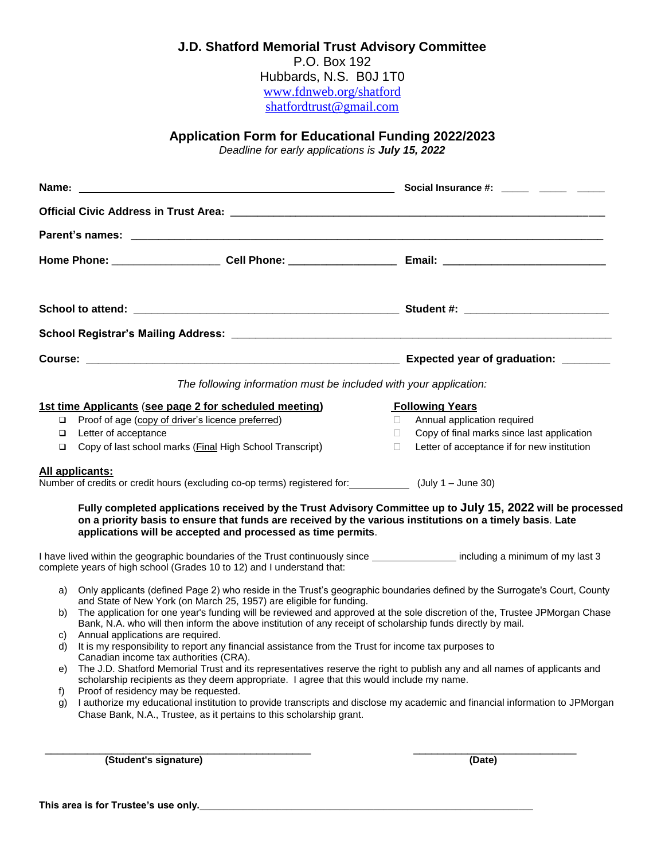# **J.D. Shatford Memorial Trust Advisory Committee**

P.O. Box 192 Hubbards, N.S. B0J 1T0 [www.fdnweb.org/shatford](http://www.fdnweb.org/shatford) [shatfordtrust@gmail.com](mailto:shatfordtrust@gmail.com)

# **Application Form for Educational Funding 2022/2023**

*Deadline for early applications is July 15, 2022*

|          |                                                                                                                                                                                                                        | Social Insurance #: \int_____\  \]                                                                                                                                                                                       |
|----------|------------------------------------------------------------------------------------------------------------------------------------------------------------------------------------------------------------------------|--------------------------------------------------------------------------------------------------------------------------------------------------------------------------------------------------------------------------|
|          |                                                                                                                                                                                                                        |                                                                                                                                                                                                                          |
|          |                                                                                                                                                                                                                        |                                                                                                                                                                                                                          |
|          |                                                                                                                                                                                                                        |                                                                                                                                                                                                                          |
|          |                                                                                                                                                                                                                        |                                                                                                                                                                                                                          |
|          |                                                                                                                                                                                                                        |                                                                                                                                                                                                                          |
|          |                                                                                                                                                                                                                        |                                                                                                                                                                                                                          |
|          |                                                                                                                                                                                                                        | The following information must be included with your application:                                                                                                                                                        |
|          | 1st time Applicants (see page 2 for scheduled meeting)                                                                                                                                                                 | <b>Following Years</b>                                                                                                                                                                                                   |
| $\Box$   | Proof of age (copy of driver's licence preferred)                                                                                                                                                                      | Annual application required<br>$\mathbf{H}$                                                                                                                                                                              |
| ❏        | Letter of acceptance                                                                                                                                                                                                   | Copy of final marks since last application<br>$\Box$                                                                                                                                                                     |
| □        | Copy of last school marks (Final High School Transcript)                                                                                                                                                               | Letter of acceptance if for new institution<br>П                                                                                                                                                                         |
|          | All applicants:<br>Number of credits or credit hours (excluding co-op terms) registered for: (July 1 - June 30)                                                                                                        |                                                                                                                                                                                                                          |
|          | applications will be accepted and processed as time permits.                                                                                                                                                           | Fully completed applications received by the Trust Advisory Committee up to July 15, 2022 will be processed<br>on a priority basis to ensure that funds are received by the various institutions on a timely basis. Late |
|          | complete years of high school (Grades 10 to 12) and I understand that:                                                                                                                                                 | I have lived within the geographic boundaries of the Trust continuously since ___________________ including a minimum of my last 3                                                                                       |
| a)       |                                                                                                                                                                                                                        | Only applicants (defined Page 2) who reside in the Trust's geographic boundaries defined by the Surrogate's Court, County                                                                                                |
| b)       | and State of New York (on March 25, 1957) are eligible for funding.<br>Bank, N.A. who will then inform the above institution of any receipt of scholarship funds directly by mail.                                     | The application for one year's funding will be reviewed and approved at the sole discretion of the, Trustee JPMorgan Chase                                                                                               |
| C)       | Annual applications are required.                                                                                                                                                                                      |                                                                                                                                                                                                                          |
| d)       | It is my responsibility to report any financial assistance from the Trust for income tax purposes to<br>Canadian income tax authorities (CRA).                                                                         |                                                                                                                                                                                                                          |
| e)       | The J.D. Shatford Memorial Trust and its representatives reserve the right to publish any and all names of applicants and<br>scholarship recipients as they deem appropriate. I agree that this would include my name. |                                                                                                                                                                                                                          |
| f)<br>g) | Proof of residency may be requested.                                                                                                                                                                                   | I authorize my educational institution to provide transcripts and disclose my academic and financial information to JPMorgan                                                                                             |
|          | Chase Bank, N.A., Trustee, as it pertains to this scholarship grant.                                                                                                                                                   |                                                                                                                                                                                                                          |
|          |                                                                                                                                                                                                                        |                                                                                                                                                                                                                          |
|          |                                                                                                                                                                                                                        |                                                                                                                                                                                                                          |

**(Student's signature) (Date)**

This area is for Trustee's use only.